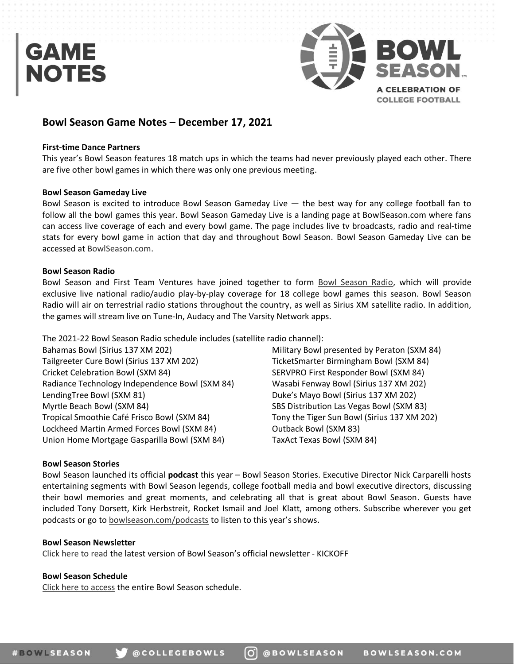

# **Bowl Season Game Notes – December 17, 2021**

### **First-time Dance Partners**

This year's Bowl Season features 18 match ups in which the teams had never previously played each other. There are five other bowl games in which there was only one previous meeting.

### **Bowl Season Gameday Live**

Bowl Season is excited to introduce Bowl Season Gameday Live — the best way for any college football fan to follow all the bowl games this year. Bowl Season Gameday Live is a landing page at BowlSeason.com where fans can access live coverage of each and every bowl game. The page includes live tv broadcasts, radio and real-time stats for every bowl game in action that day and throughout Bowl Season. Bowl Season Gameday Live can be accessed at BowlSeason.com.

### **Bowl Season Radio**

Bowl Season and First Team Ventures have joined together to form Bowl Season Radio, which will provide exclusive live national radio/audio play-by-play coverage for 18 college bowl games this season. Bowl Season Radio will air on terrestrial radio stations throughout the country, as well as Sirius XM satellite radio. In addition, the games will stream live on Tune-In, Audacy and The Varsity Network apps.

The 2021-22 Bowl Season Radio schedule includes (satellite radio channel):

Bahamas Bowl (Sirius 137 XM 202) Tailgreeter Cure Bowl (Sirius 137 XM 202) Cricket Celebration Bowl (SXM 84) Radiance Technology Independence Bowl (SXM 84) LendingTree Bowl (SXM 81) Myrtle Beach Bowl (SXM 84) Tropical Smoothie Café Frisco Bowl (SXM 84) Lockheed Martin Armed Forces Bowl (SXM 84) Union Home Mortgage Gasparilla Bowl (SXM 84)

Military Bowl presented by Peraton (SXM 84) TicketSmarter Birmingham Bowl (SXM 84) SERVPRO First Responder Bowl (SXM 84) Wasabi Fenway Bowl (Sirius 137 XM 202) Duke's Mayo Bowl (Sirius 137 XM 202) SBS Distribution Las Vegas Bowl (SXM 83) Tony the Tiger Sun Bowl (Sirius 137 XM 202) Outback Bowl (SXM 83) TaxAct Texas Bowl (SXM 84)

## **Bowl Season Stories**

Bowl Season launched its official **podcast** this year – Bowl Season Stories. Executive Director Nick Carparelli hosts entertaining segments with Bowl Season legends, college football media and bowl executive directors, discussing their bowl memories and great moments, and celebrating all that is great about Bowl Season. Guests have included Tony Dorsett, Kirk Herbstreit, Rocket Ismail and Joel Klatt, among others. Subscribe wherever you get podcasts or go to bowlseason.com/podcasts to listen to this year's shows.

### **Bowl Season Newsletter**

Click here to read the latest version of Bowl Season's official newsletter - KICKOFF

## **Bowl Season Schedule**

Click here to access the entire Bowl Season schedule.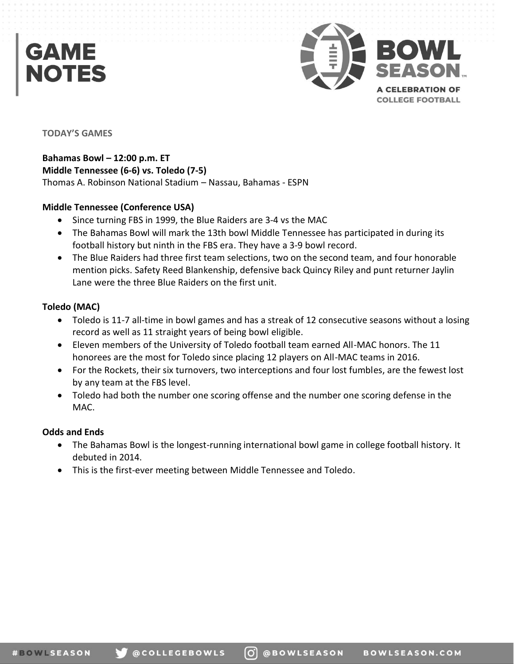

## **TODAY'S GAMES**

**Bahamas Bowl – 12:00 p.m. ET Middle Tennessee (6-6) vs. Toledo (7-5)**  Thomas A. Robinson National Stadium – Nassau, Bahamas - ESPN

# **Middle Tennessee (Conference USA)**

- Since turning FBS in 1999, the Blue Raiders are 3-4 vs the MAC
- The Bahamas Bowl will mark the 13th bowl Middle Tennessee has participated in during its football history but ninth in the FBS era. They have a 3-9 bowl record.
- The Blue Raiders had three first team selections, two on the second team, and four honorable mention picks. Safety Reed Blankenship, defensive back Quincy Riley and punt returner Jaylin Lane were the three Blue Raiders on the first unit.

# **Toledo (MAC)**

- Toledo is 11-7 all-time in bowl games and has a streak of 12 consecutive seasons without a losing record as well as 11 straight years of being bowl eligible.
- Eleven members of the University of Toledo football team earned All-MAC honors. The 11 honorees are the most for Toledo since placing 12 players on All-MAC teams in 2016.
- For the Rockets, their six turnovers, two interceptions and four lost fumbles, are the fewest lost by any team at the FBS level.
- Toledo had both the number one scoring offense and the number one scoring defense in the MAC.

# **Odds and Ends**

- The Bahamas Bowl is the longest-running international bowl game in college football history. It debuted in 2014.
- This is the first-ever meeting between Middle Tennessee and Toledo.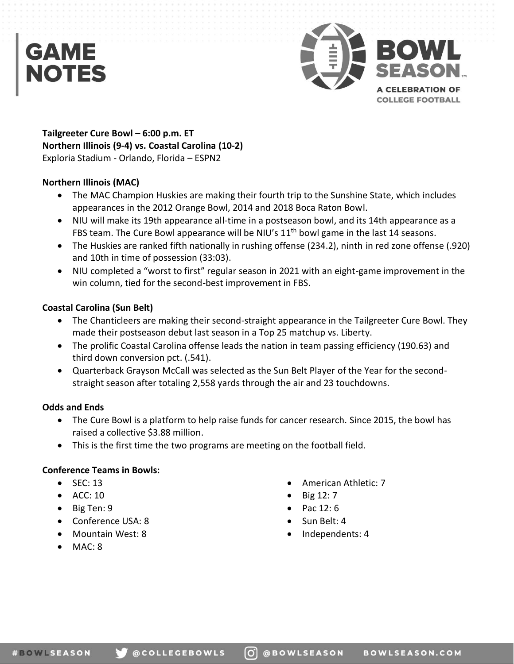

**Tailgreeter Cure Bowl – 6:00 p.m. ET Northern Illinois (9-4) vs. Coastal Carolina (10-2)**  Exploria Stadium - Orlando, Florida – ESPN2

# **Northern Illinois (MAC)**

- The MAC Champion Huskies are making their fourth trip to the Sunshine State, which includes appearances in the 2012 Orange Bowl, 2014 and 2018 Boca Raton Bowl.
- NIU will make its 19th appearance all-time in a postseason bowl, and its 14th appearance as a FBS team. The Cure Bowl appearance will be NIU's 11<sup>th</sup> bowl game in the last 14 seasons.
- The Huskies are ranked fifth nationally in rushing offense (234.2), ninth in red zone offense (.920) and 10th in time of possession (33:03).
- NIU completed a "worst to first" regular season in 2021 with an eight-game improvement in the win column, tied for the second-best improvement in FBS.

# **Coastal Carolina (Sun Belt)**

- The Chanticleers are making their second-straight appearance in the Tailgreeter Cure Bowl. They made their postseason debut last season in a Top 25 matchup vs. Liberty.
- The prolific Coastal Carolina offense leads the nation in team passing efficiency (190.63) and third down conversion pct. (.541).
- Quarterback Grayson McCall was selected as the Sun Belt Player of the Year for the secondstraight season after totaling 2,558 yards through the air and 23 touchdowns.

# **Odds and Ends**

- The Cure Bowl is a platform to help raise funds for cancer research. Since 2015, the bowl has raised a collective \$3.88 million.
- This is the first time the two programs are meeting on the football field.

# **Conference Teams in Bowls:**

- $\bullet$  SEC: 13
- $\bullet$  ACC: 10
- $\bullet$  Big Ten: 9
- Conference USA: 8
- Mountain West: 8
- $\bullet$  MAC: 8
- x American Athletic: 7
- Big 12: 7
- Pac 12: 6
- $\bullet$  Sun Belt: 4
- Independents: 4